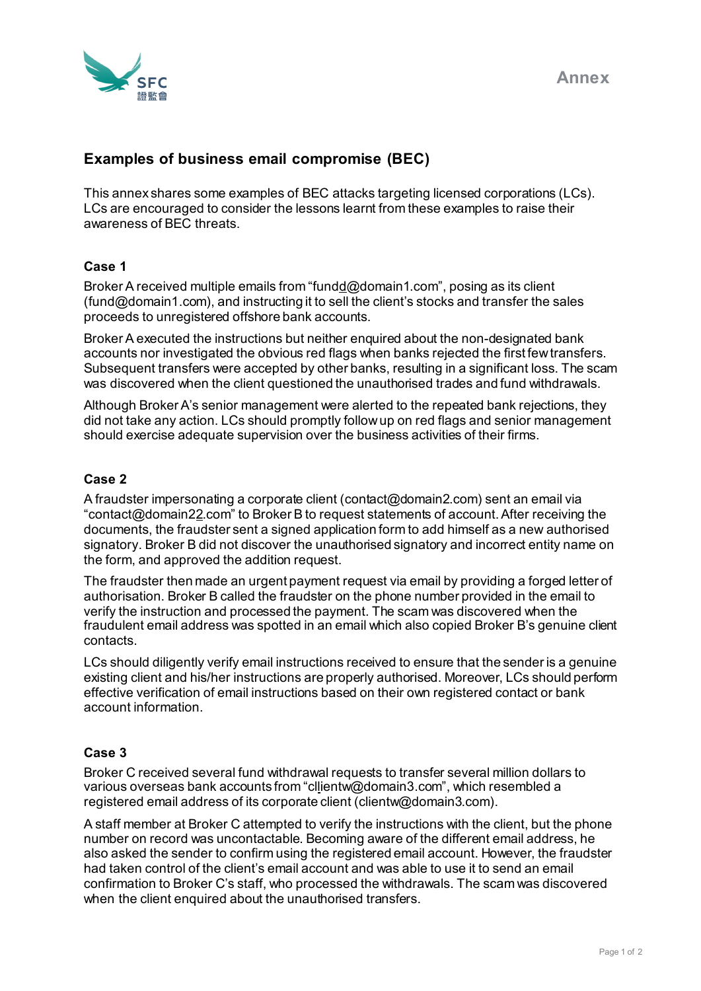

# **Examples of business email compromise (BEC)**

This annex shares some examples of BEC attacks targeting licensed corporations (LCs). LCs are encouraged to consider the lessons learnt from these examples to raise their awareness of BEC threats.

## **Case 1**

Broker A received multiple emails from "fundd@domain1.com", posing as its client (fund@domain1.com), and instructing it to sell the client's stocks and transfer the sales proceeds to unregistered offshore bank accounts.

Broker A executed the instructions but neither enquired about the non-designated bank accounts nor investigated the obvious red flags when banks rejected the first few transfers. Subsequent transfers were accepted by other banks, resulting in a significant loss. The scam was discovered when the client questioned the unauthorised trades and fund withdrawals.

Although Broker A's senior management were alerted to the repeated bank rejections, they did not take any action. LCs should promptly follow up on red flags and senior management should exercise adequate supervision over the business activities of their firms.

#### **Case 2**

A fraudster impersonating a corporate client (contact@domain2.com) sent an email via "contact@domain22.com" to Broker B to request statements of account.After receiving the documents, the fraudster sent a signed application form to add himself as a new authorised signatory. Broker B did not discover the unauthorised signatory and incorrect entity name on the form, and approved the addition request.

The fraudster then made an urgent payment request via email by providing a forged letter of authorisation. Broker B called the fraudster on the phone number provided in the email to verify the instruction and processed the payment. The scam was discovered when the fraudulent email address was spotted in an email which also copied Broker B's genuine client contacts.

LCs should diligently verify email instructions received to ensure that the sender is a genuine existing client and his/her instructions are properly authorised. Moreover, LCs should perform effective verification of email instructions based on their own registered contact or bank account information.

## **Case 3**

Broker C received several fund withdrawal requests to transfer several million dollars to various overseas bank accounts from "cllientw@domain3.com", which resembled a registered email address of its corporate client (clientw@domain3.com).

A staff member at Broker C attempted to verify the instructions with the client, but the phone number on record was uncontactable. Becoming aware of the different email address, he also asked the sender to confirm using the registered email account. However, the fraudster had taken control of the client's email account and was able to use it to send an email confirmation to Broker C's staff, who processed the withdrawals. The scam was discovered when the client enquired about the unauthorised transfers.